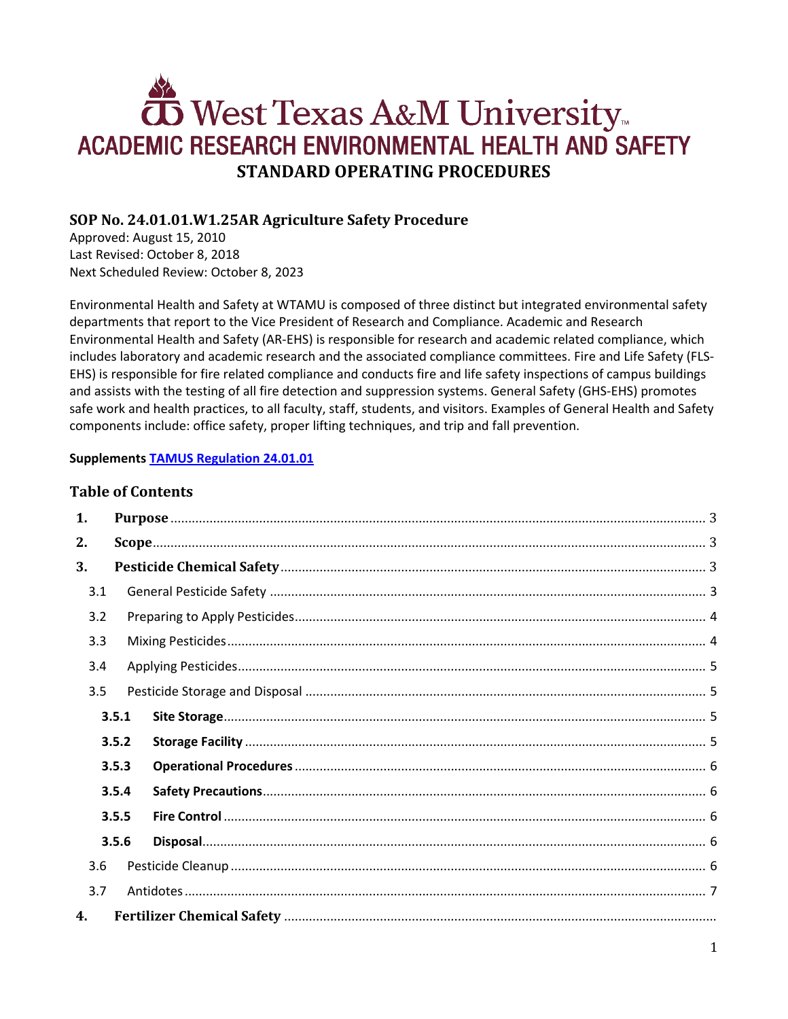# West Texas A&M University **ACADEMIC RESEARCH ENVIRONMENTAL HEALTH AND SAFETY STANDARD OPERATING PROCEDURES**

# **SOP No. 24.01.01.W1.25AR Agriculture Safety Procedure**

Approved: August 15, 2010 Last Revised: October 8, 2018 Next Scheduled Review: October 8, 2023

Environmental Health and Safety at WTAMU is composed of three distinct but integrated environmental safety departments that report to the Vice President of Research and Compliance. Academic and Research Environmental Health and Safety (AR-EHS) is responsible for research and academic related compliance, which includes laboratory and academic research and the associated compliance committees. Fire and Life Safety (FLS-EHS) is responsible for fire related compliance and conducts fire and life safety inspections of campus buildings and assists with the testing of all fire detection and suppression systems. General Safety (GHS-EHS) promotes safe work and health practices, to all faculty, staff, students, and visitors. Examples of General Health and Safety components include: office safety, proper lifting techniques, and trip and fall prevention.

# **Supplements [TAMUS Regulation 24.01.01](http://policies.tamus.edu/24-01-01.pdf)**

# **Table of Contents**

| 1.  |       |  |  |  |
|-----|-------|--|--|--|
| 2.  |       |  |  |  |
| 3.  |       |  |  |  |
| 3.1 |       |  |  |  |
| 3.2 |       |  |  |  |
| 3.3 |       |  |  |  |
| 3.4 |       |  |  |  |
| 3.5 |       |  |  |  |
|     | 3.5.1 |  |  |  |
|     | 3.5.2 |  |  |  |
|     | 3.5.3 |  |  |  |
|     | 3.5.4 |  |  |  |
|     | 3.5.5 |  |  |  |
|     | 3.5.6 |  |  |  |
| 3.6 |       |  |  |  |
| 3.7 |       |  |  |  |
| 4.  |       |  |  |  |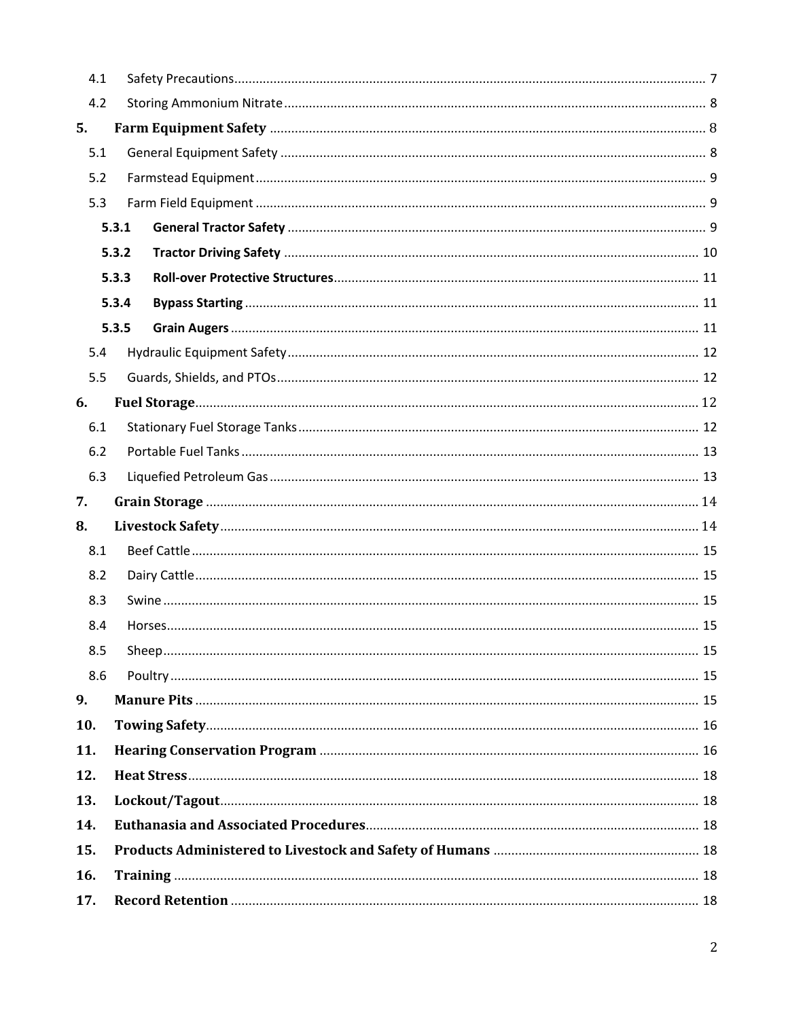| 4.1   |       |  |  |  |
|-------|-------|--|--|--|
| 4.2   |       |  |  |  |
| 5.    |       |  |  |  |
| 5.1   |       |  |  |  |
| 5.2   |       |  |  |  |
| 5.3   |       |  |  |  |
| 5.3.1 |       |  |  |  |
|       | 5.3.2 |  |  |  |
|       | 5.3.3 |  |  |  |
|       | 5.3.4 |  |  |  |
|       | 5.3.5 |  |  |  |
| 5.4   |       |  |  |  |
| 5.5   |       |  |  |  |
| 6.    |       |  |  |  |
| 6.1   |       |  |  |  |
| 6.2   |       |  |  |  |
| 6.3   |       |  |  |  |
| 7.    |       |  |  |  |
| 8.    |       |  |  |  |
| 8.1   |       |  |  |  |
| 8.2   |       |  |  |  |
| 8.3   |       |  |  |  |
|       |       |  |  |  |
| 8.4   |       |  |  |  |
| 8.5   |       |  |  |  |
| 8.6   |       |  |  |  |
| 9.    |       |  |  |  |
| 10.   |       |  |  |  |
| 11.   |       |  |  |  |
| 12.   |       |  |  |  |
| 13.   |       |  |  |  |
| 14.   |       |  |  |  |
| 15.   |       |  |  |  |
| 16.   |       |  |  |  |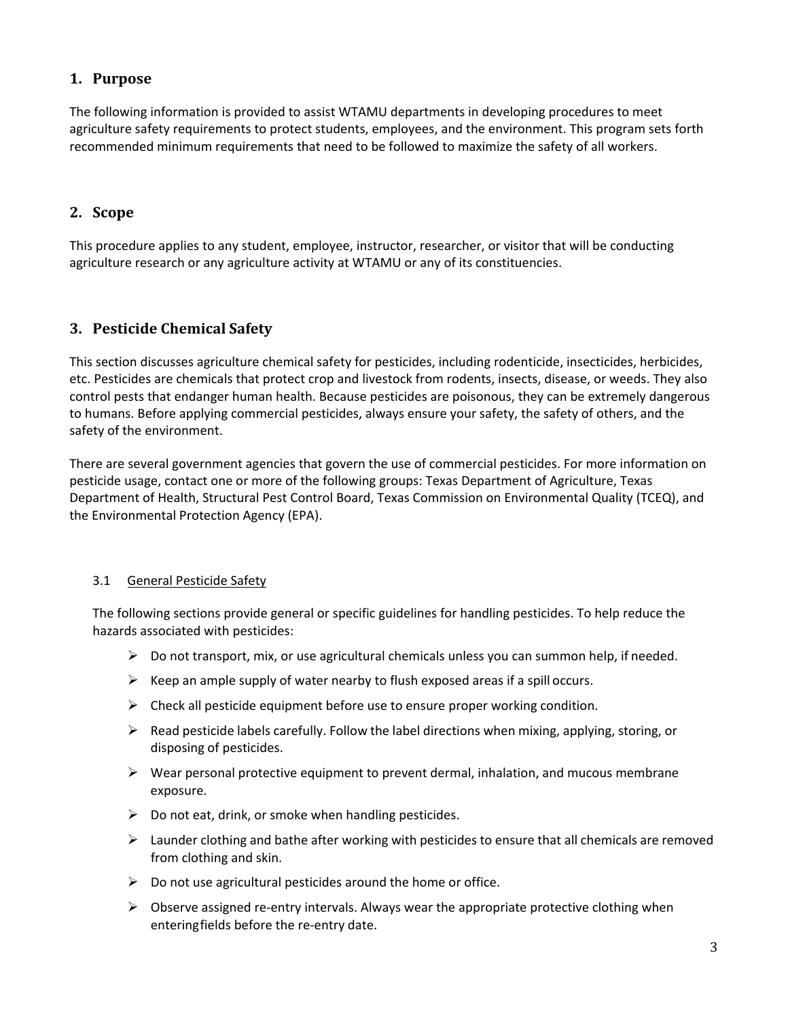# <span id="page-2-0"></span>**1. Purpose**

The following information is provided to assist WTAMU departments in developing procedures to meet agriculture safety requirements to protect students, employees, and the environment. This program sets forth recommended minimum requirements that need to be followed to maximize the safety of all workers.

# <span id="page-2-1"></span>**2. Scope**

This procedure applies to any student, employee, instructor, researcher, or visitor that will be conducting agriculture research or any agriculture activity at WTAMU or any of its constituencies.

# <span id="page-2-2"></span>**3. Pesticide Chemical Safety**

This section discusses agriculture chemical safety for pesticides, including rodenticide, insecticides, herbicides, etc. Pesticides are chemicals that protect crop and livestock from rodents, insects, disease, or weeds. They also control pests that endanger human health. Because pesticides are poisonous, they can be extremely dangerous to humans. Before applying commercial pesticides, always ensure your safety, the safety of others, and the safety of the environment.

There are several government agencies that govern the use of commercial pesticides. For more information on pesticide usage, contact one or more of the following groups: Texas Department of Agriculture, Texas Department of Health, Structural Pest Control Board, Texas Commission on Environmental Quality (TCEQ), and the Environmental Protection Agency (EPA).

#### <span id="page-2-3"></span>3.1 General Pesticide Safety

The following sections provide general or specific guidelines for handling pesticides. To help reduce the hazards associated with pesticides:

- $\triangleright$  Do not transport, mix, or use agricultural chemicals unless you can summon help, if needed.
- $\triangleright$  Keep an ample supply of water nearby to flush exposed areas if a spill occurs.
- $\triangleright$  Check all pesticide equipment before use to ensure proper working condition.
- $\triangleright$  Read pesticide labels carefully. Follow the label directions when mixing, applying, storing, or disposing of pesticides.
- $\triangleright$  Wear personal protective equipment to prevent dermal, inhalation, and mucous membrane exposure.
- $\triangleright$  Do not eat, drink, or smoke when handling pesticides.
- $\triangleright$  Launder clothing and bathe after working with pesticides to ensure that all chemicals are removed from clothing and skin.
- $\triangleright$  Do not use agricultural pesticides around the home or office.
- $\triangleright$  Observe assigned re-entry intervals. Always wear the appropriate protective clothing when enteringfields before the re-entry date.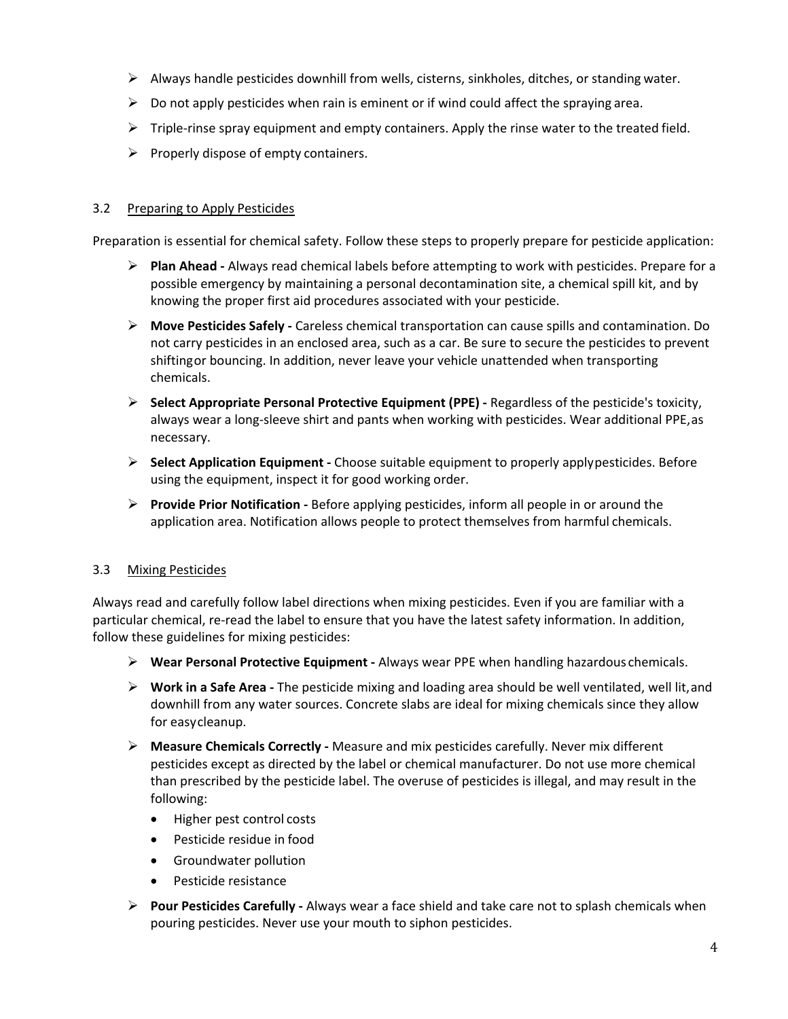- $\triangleright$  Always handle pesticides downhill from wells, cisterns, sinkholes, ditches, or standing water.
- $\triangleright$  Do not apply pesticides when rain is eminent or if wind could affect the spraying area.
- $\triangleright$  Triple-rinse spray equipment and empty containers. Apply the rinse water to the treated field.
- $\triangleright$  Properly dispose of empty containers.

## <span id="page-3-0"></span>3.2 Preparing to Apply Pesticides

Preparation is essential for chemical safety. Follow these steps to properly prepare for pesticide application:

- **Plan Ahead -** Always read chemical labels before attempting to work with pesticides. Prepare for a possible emergency by maintaining a personal decontamination site, a chemical spill kit, and by knowing the proper first aid procedures associated with your pesticide.
- **Move Pesticides Safely -** Careless chemical transportation can cause spills and contamination. Do not carry pesticides in an enclosed area, such as a car. Be sure to secure the pesticides to prevent shiftingor bouncing. In addition, never leave your vehicle unattended when transporting chemicals.
- **Select Appropriate Personal Protective Equipment (PPE) -** Regardless of the pesticide's toxicity, always wear a long-sleeve shirt and pants when working with pesticides. Wear additional PPE,as necessary.
- **Select Application Equipment -** Choose suitable equipment to properly applypesticides. Before using the equipment, inspect it for good working order.
- **Provide Prior Notification -** Before applying pesticides, inform all people in or around the application area. Notification allows people to protect themselves from harmful chemicals.

## <span id="page-3-1"></span>3.3 Mixing Pesticides

Always read and carefully follow label directions when mixing pesticides. Even if you are familiar with a particular chemical, re-read the label to ensure that you have the latest safety information. In addition, follow these guidelines for mixing pesticides:

- **Wear Personal Protective Equipment -** Always wear PPE when handling hazardous chemicals.
- **Work in a Safe Area -** The pesticide mixing and loading area should be well ventilated, well lit,and downhill from any water sources. Concrete slabs are ideal for mixing chemicals since they allow for easycleanup.
- **Measure Chemicals Correctly -** Measure and mix pesticides carefully. Never mix different pesticides except as directed by the label or chemical manufacturer. Do not use more chemical than prescribed by the pesticide label. The overuse of pesticides is illegal, and may result in the following:
	- Higher pest control costs
	- Pesticide residue in food
	- Groundwater pollution
	- Pesticide resistance
- **Pour Pesticides Carefully -** Always wear a face shield and take care not to splash chemicals when pouring pesticides. Never use your mouth to siphon pesticides.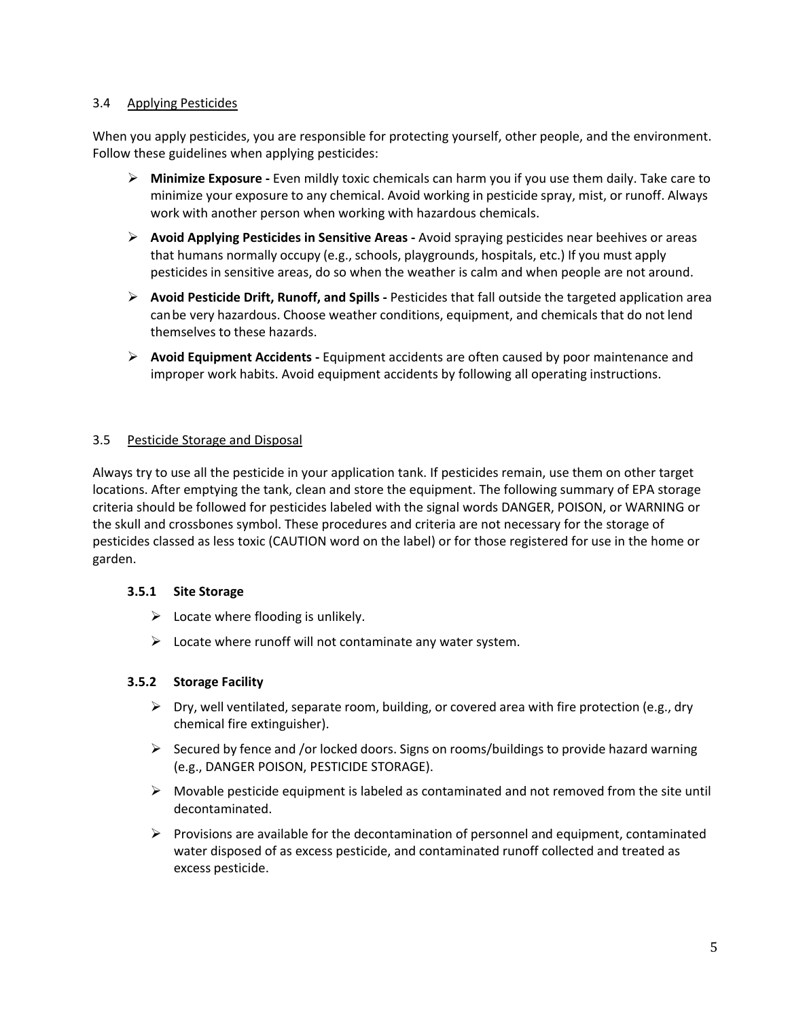## <span id="page-4-0"></span>3.4 Applying Pesticides

When you apply pesticides, you are responsible for protecting yourself, other people, and the environment. Follow these guidelines when applying pesticides:

- **Minimize Exposure -** Even mildly toxic chemicals can harm you if you use them daily. Take care to minimize your exposure to any chemical. Avoid working in pesticide spray, mist, or runoff. Always work with another person when working with hazardous chemicals.
- **Avoid Applying Pesticides in Sensitive Areas -** Avoid spraying pesticides near beehives or areas that humans normally occupy (e.g., schools, playgrounds, hospitals, etc.) If you must apply pesticides in sensitive areas, do so when the weather is calm and when people are not around.
- **Avoid Pesticide Drift, Runoff, and Spills -** Pesticides that fall outside the targeted application area canbe very hazardous. Choose weather conditions, equipment, and chemicals that do not lend themselves to these hazards.
- **Avoid Equipment Accidents -** Equipment accidents are often caused by poor maintenance and improper work habits. Avoid equipment accidents by following all operating instructions.

## <span id="page-4-1"></span>3.5 Pesticide Storage and Disposal

Always try to use all the pesticide in your application tank. If pesticides remain, use them on other target locations. After emptying the tank, clean and store the equipment. The following summary of EPA storage criteria should be followed for pesticides labeled with the signal words DANGER, POISON, or WARNING or the skull and crossbones symbol. These procedures and criteria are not necessary for the storage of pesticides classed as less toxic (CAUTION word on the label) or for those registered for use in the home or garden.

#### <span id="page-4-2"></span>**3.5.1 Site Storage**

- $\triangleright$  Locate where flooding is unlikely.
- $\triangleright$  Locate where runoff will not contaminate any water system.

#### <span id="page-4-3"></span>**3.5.2 Storage Facility**

- $\triangleright$  Dry, well ventilated, separate room, building, or covered area with fire protection (e.g., dry chemical fire extinguisher).
- $\triangleright$  Secured by fence and /or locked doors. Signs on rooms/buildings to provide hazard warning (e.g., DANGER POISON, PESTICIDE STORAGE).
- $\triangleright$  Movable pesticide equipment is labeled as contaminated and not removed from the site until decontaminated.
- $\triangleright$  Provisions are available for the decontamination of personnel and equipment, contaminated water disposed of as excess pesticide, and contaminated runoff collected and treated as excess pesticide.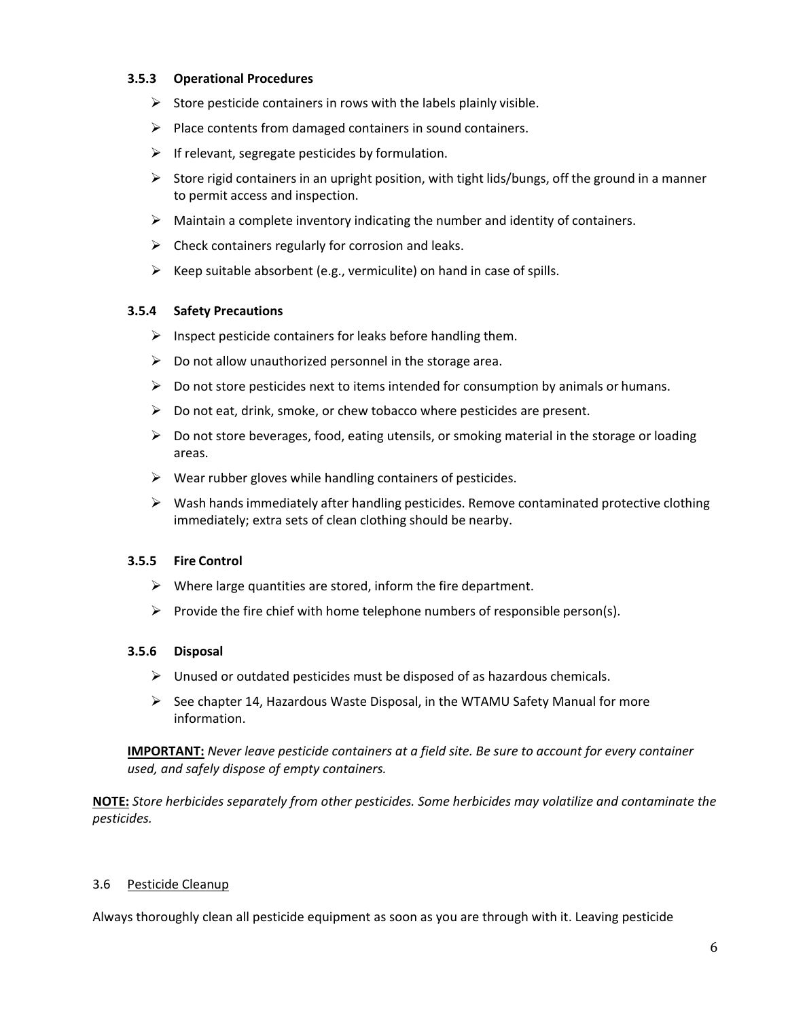#### <span id="page-5-0"></span>**3.5.3 Operational Procedures**

- $\triangleright$  Store pesticide containers in rows with the labels plainly visible.
- $\triangleright$  Place contents from damaged containers in sound containers.
- $\triangleright$  If relevant, segregate pesticides by formulation.
- $\triangleright$  Store rigid containers in an upright position, with tight lids/bungs, off the ground in a manner to permit access and inspection.
- $\triangleright$  Maintain a complete inventory indicating the number and identity of containers.
- $\triangleright$  Check containers regularly for corrosion and leaks.
- $\triangleright$  Keep suitable absorbent (e.g., vermiculite) on hand in case of spills.

## <span id="page-5-1"></span>**3.5.4 Safety Precautions**

- $\triangleright$  Inspect pesticide containers for leaks before handling them.
- $\triangleright$  Do not allow unauthorized personnel in the storage area.
- $\triangleright$  Do not store pesticides next to items intended for consumption by animals or humans.
- $\triangleright$  Do not eat, drink, smoke, or chew tobacco where pesticides are present.
- $\triangleright$  Do not store beverages, food, eating utensils, or smoking material in the storage or loading areas.
- $\triangleright$  Wear rubber gloves while handling containers of pesticides.
- $\triangleright$  Wash hands immediately after handling pesticides. Remove contaminated protective clothing immediately; extra sets of clean clothing should be nearby.

#### <span id="page-5-2"></span>**3.5.5 Fire Control**

- $\triangleright$  Where large quantities are stored, inform the fire department.
- Provide the fire chief with home telephone numbers of responsible person(s).

## <span id="page-5-3"></span>**3.5.6 Disposal**

- $\triangleright$  Unused or outdated pesticides must be disposed of as hazardous chemicals.
- $\triangleright$  See chapter 14, Hazardous Waste Disposal, in the WTAMU Safety Manual for more information.

**IMPORTANT:** *Never leave pesticide containers at a field site. Be sure to account for every container used, and safely dispose of empty containers.*

**NOTE:** *Store herbicides separately from other pesticides. Some herbicides may volatilize and contaminate the pesticides.*

## <span id="page-5-4"></span>3.6 Pesticide Cleanup

Always thoroughly clean all pesticide equipment as soon as you are through with it. Leaving pesticide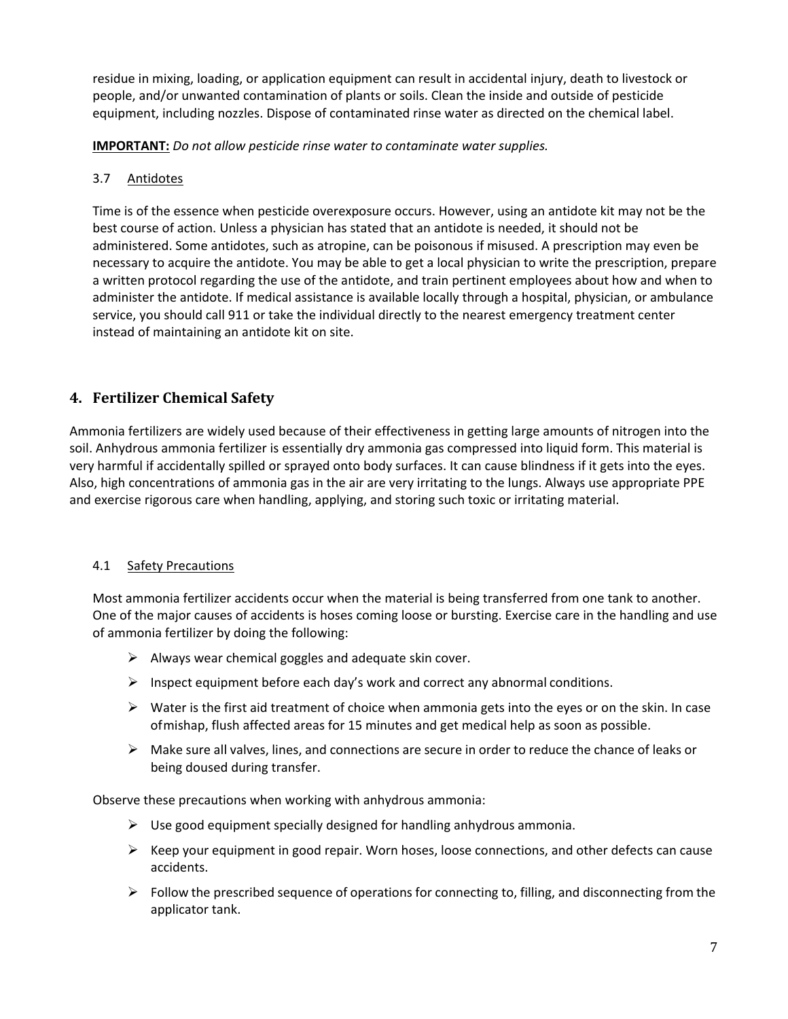residue in mixing, loading, or application equipment can result in accidental injury, death to livestock or people, and/or unwanted contamination of plants or soils. Clean the inside and outside of pesticide equipment, including nozzles. Dispose of contaminated rinse water as directed on the chemical label.

**IMPORTANT:** *Do not allow pesticide rinse water to contaminate water supplies.*

## <span id="page-6-0"></span>3.7 Antidotes

Time is of the essence when pesticide overexposure occurs. However, using an antidote kit may not be the best course of action. Unless a physician has stated that an antidote is needed, it should not be administered. Some antidotes, such as atropine, can be poisonous if misused. A prescription may even be necessary to acquire the antidote. You may be able to get a local physician to write the prescription, prepare a written protocol regarding the use of the antidote, and train pertinent employees about how and when to administer the antidote. If medical assistance is available locally through a hospital, physician, or ambulance service, you should call 911 or take the individual directly to the nearest emergency treatment center instead of maintaining an antidote kit on site.

# <span id="page-6-1"></span>**4. Fertilizer Chemical Safety**

Ammonia fertilizers are widely used because of their effectiveness in getting large amounts of nitrogen into the soil. Anhydrous ammonia fertilizer is essentially dry ammonia gas compressed into liquid form. This material is very harmful if accidentally spilled or sprayed onto body surfaces. It can cause blindness if it gets into the eyes. Also, high concentrations of ammonia gas in the air are very irritating to the lungs. Always use appropriate PPE and exercise rigorous care when handling, applying, and storing such toxic or irritating material.

## <span id="page-6-2"></span>4.1 Safety Precautions

Most ammonia fertilizer accidents occur when the material is being transferred from one tank to another. One of the major causes of accidents is hoses coming loose or bursting. Exercise care in the handling and use of ammonia fertilizer by doing the following:

- $\triangleright$  Always wear chemical goggles and adequate skin cover.
- $\triangleright$  Inspect equipment before each day's work and correct any abnormal conditions.
- $\triangleright$  Water is the first aid treatment of choice when ammonia gets into the eyes or on the skin. In case ofmishap, flush affected areas for 15 minutes and get medical help as soon as possible.
- $\triangleright$  Make sure all valves, lines, and connections are secure in order to reduce the chance of leaks or being doused during transfer.

Observe these precautions when working with anhydrous ammonia:

- $\triangleright$  Use good equipment specially designed for handling anhydrous ammonia.
- $\triangleright$  Keep your equipment in good repair. Worn hoses, loose connections, and other defects can cause accidents.
- $\triangleright$  Follow the prescribed sequence of operations for connecting to, filling, and disconnecting from the applicator tank.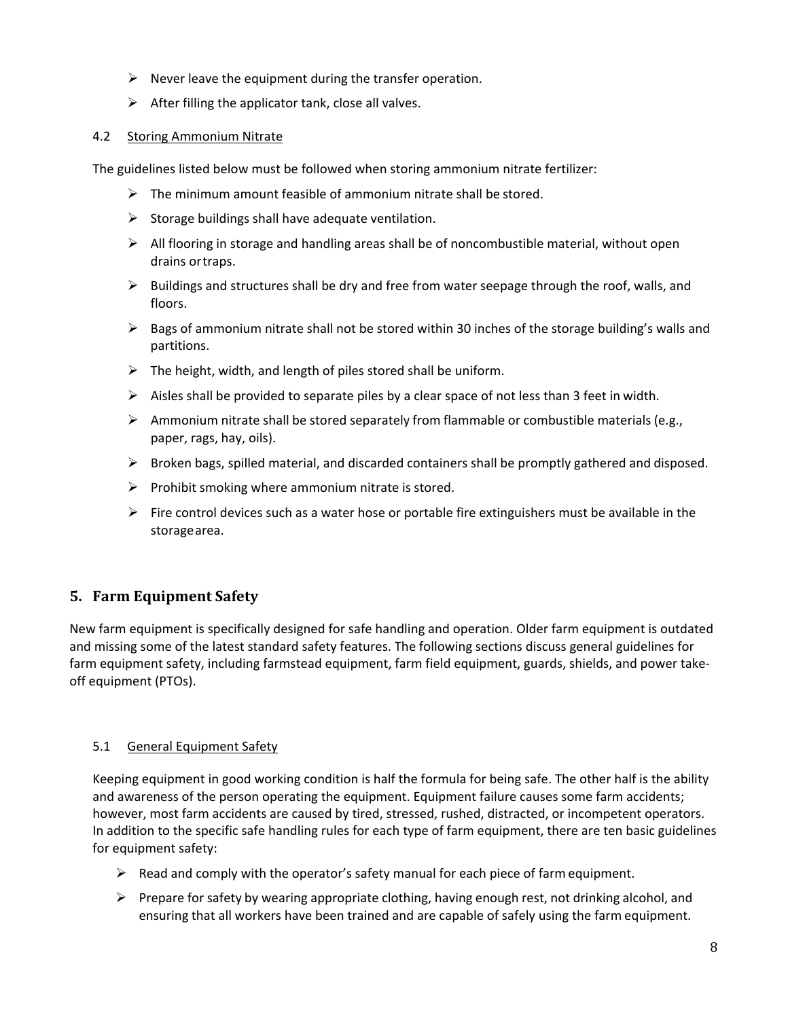- $\triangleright$  Never leave the equipment during the transfer operation.
- $\triangleright$  After filling the applicator tank, close all valves.

#### <span id="page-7-0"></span>4.2 Storing Ammonium Nitrate

The guidelines listed below must be followed when storing ammonium nitrate fertilizer:

- $\triangleright$  The minimum amount feasible of ammonium nitrate shall be stored.
- $\triangleright$  Storage buildings shall have adequate ventilation.
- $\triangleright$  All flooring in storage and handling areas shall be of noncombustible material, without open drains ortraps.
- $\triangleright$  Buildings and structures shall be dry and free from water seepage through the roof, walls, and floors.
- $\triangleright$  Bags of ammonium nitrate shall not be stored within 30 inches of the storage building's walls and partitions.
- $\triangleright$  The height, width, and length of piles stored shall be uniform.
- $\triangleright$  Aisles shall be provided to separate piles by a clear space of not less than 3 feet in width.
- $\triangleright$  Ammonium nitrate shall be stored separately from flammable or combustible materials (e.g., paper, rags, hay, oils).
- $\triangleright$  Broken bags, spilled material, and discarded containers shall be promptly gathered and disposed.
- $\triangleright$  Prohibit smoking where ammonium nitrate is stored.
- $\triangleright$  Fire control devices such as a water hose or portable fire extinguishers must be available in the storagearea.

# <span id="page-7-1"></span>**5. Farm Equipment Safety**

New farm equipment is specifically designed for safe handling and operation. Older farm equipment is outdated and missing some of the latest standard safety features. The following sections discuss general guidelines for farm equipment safety, including farmstead equipment, farm field equipment, guards, shields, and power takeoff equipment (PTOs).

## <span id="page-7-2"></span>5.1 General Equipment Safety

Keeping equipment in good working condition is half the formula for being safe. The other half is the ability and awareness of the person operating the equipment. Equipment failure causes some farm accidents; however, most farm accidents are caused by tired, stressed, rushed, distracted, or incompetent operators. In addition to the specific safe handling rules for each type of farm equipment, there are ten basic guidelines for equipment safety:

- $\triangleright$  Read and comply with the operator's safety manual for each piece of farm equipment.
- $\triangleright$  Prepare for safety by wearing appropriate clothing, having enough rest, not drinking alcohol, and ensuring that all workers have been trained and are capable of safely using the farm equipment.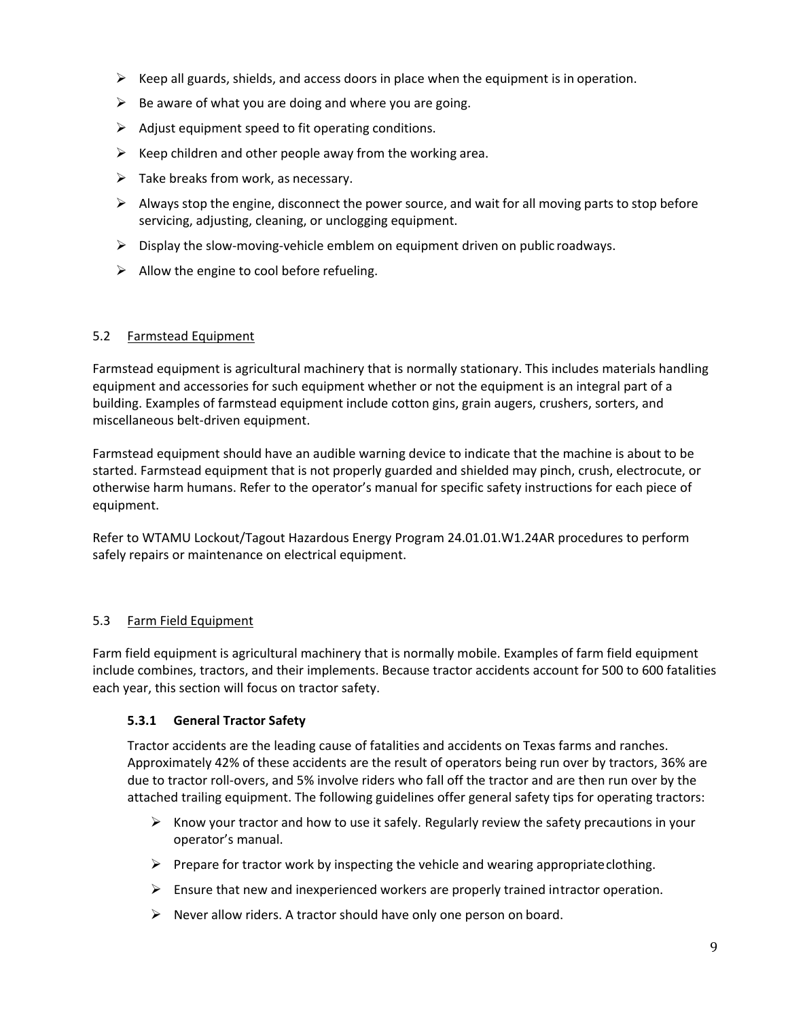- $\triangleright$  Keep all guards, shields, and access doors in place when the equipment is in operation.
- $\triangleright$  Be aware of what you are doing and where you are going.
- $\triangleright$  Adjust equipment speed to fit operating conditions.
- $\triangleright$  Keep children and other people away from the working area.
- $\triangleright$  Take breaks from work, as necessary.
- $\triangleright$  Always stop the engine, disconnect the power source, and wait for all moving parts to stop before servicing, adjusting, cleaning, or unclogging equipment.
- $\triangleright$  Display the slow-moving-vehicle emblem on equipment driven on public roadways.
- $\triangleright$  Allow the engine to cool before refueling.

## <span id="page-8-0"></span>5.2 Farmstead Equipment

Farmstead equipment is agricultural machinery that is normally stationary. This includes materials handling equipment and accessories for such equipment whether or not the equipment is an integral part of a building. Examples of farmstead equipment include cotton gins, grain augers, crushers, sorters, and miscellaneous belt-driven equipment.

Farmstead equipment should have an audible warning device to indicate that the machine is about to be started. Farmstead equipment that is not properly guarded and shielded may pinch, crush, electrocute, or otherwise harm humans. Refer to the operator's manual for specific safety instructions for each piece of equipment.

Refer to WTAMU Lockout/Tagout Hazardous Energy Program 24.01.01.W1.24AR procedures to perform safely repairs or maintenance on electrical equipment.

## <span id="page-8-1"></span>5.3 Farm Field Equipment

Farm field equipment is agricultural machinery that is normally mobile. Examples of farm field equipment include combines, tractors, and their implements. Because tractor accidents account for 500 to 600 fatalities each year, this section will focus on tractor safety.

#### <span id="page-8-2"></span>**5.3.1 General Tractor Safety**

Tractor accidents are the leading cause of fatalities and accidents on Texas farms and ranches. Approximately 42% of these accidents are the result of operators being run over by tractors, 36% are due to tractor roll-overs, and 5% involve riders who fall off the tractor and are then run over by the attached trailing equipment. The following guidelines offer general safety tips for operating tractors:

- $\triangleright$  Know your tractor and how to use it safely. Regularly review the safety precautions in your operator's manual.
- $\triangleright$  Prepare for tractor work by inspecting the vehicle and wearing appropriate clothing.
- $\triangleright$  Ensure that new and inexperienced workers are properly trained intractor operation.
- $\triangleright$  Never allow riders. A tractor should have only one person on board.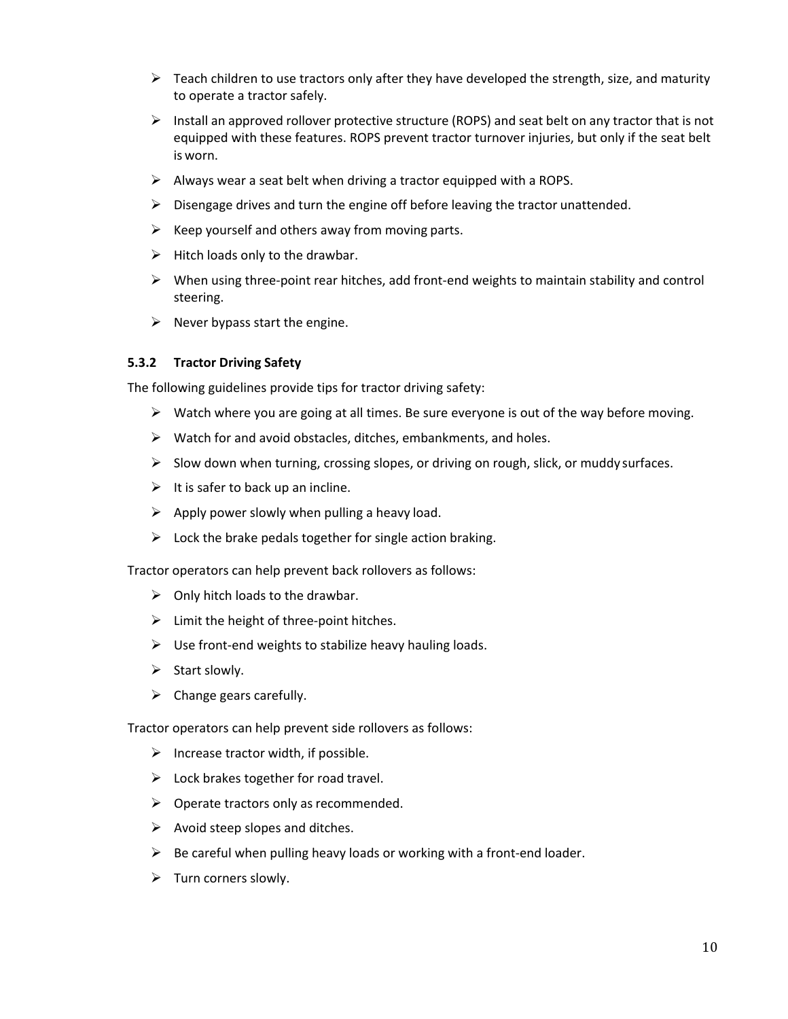- $\triangleright$  Teach children to use tractors only after they have developed the strength, size, and maturity to operate a tractor safely.
- $\triangleright$  Install an approved rollover protective structure (ROPS) and seat belt on any tractor that is not equipped with these features. ROPS prevent tractor turnover injuries, but only if the seat belt is worn.
- $\triangleright$  Always wear a seat belt when driving a tractor equipped with a ROPS.
- $\triangleright$  Disengage drives and turn the engine off before leaving the tractor unattended.
- $\triangleright$  Keep yourself and others away from moving parts.
- $\triangleright$  Hitch loads only to the drawbar.
- $\triangleright$  When using three-point rear hitches, add front-end weights to maintain stability and control steering.
- $\triangleright$  Never bypass start the engine.

#### <span id="page-9-0"></span>**5.3.2 Tractor Driving Safety**

The following guidelines provide tips for tractor driving safety:

- $\triangleright$  Watch where you are going at all times. Be sure everyone is out of the way before moving.
- $\triangleright$  Watch for and avoid obstacles, ditches, embankments, and holes.
- $\triangleright$  Slow down when turning, crossing slopes, or driving on rough, slick, or muddy surfaces.
- $\triangleright$  It is safer to back up an incline.
- $\triangleright$  Apply power slowly when pulling a heavy load.
- $\triangleright$  Lock the brake pedals together for single action braking.

Tractor operators can help prevent back rollovers as follows:

- $\triangleright$  Only hitch loads to the drawbar.
- $\triangleright$  Limit the height of three-point hitches.
- $\triangleright$  Use front-end weights to stabilize heavy hauling loads.
- $\triangleright$  Start slowly.
- $\triangleright$  Change gears carefully.

Tractor operators can help prevent side rollovers as follows:

- $\triangleright$  Increase tractor width, if possible.
- $\triangleright$  Lock brakes together for road travel.
- $\triangleright$  Operate tractors only as recommended.
- $\triangleright$  Avoid steep slopes and ditches.
- $\triangleright$  Be careful when pulling heavy loads or working with a front-end loader.
- $\triangleright$  Turn corners slowly.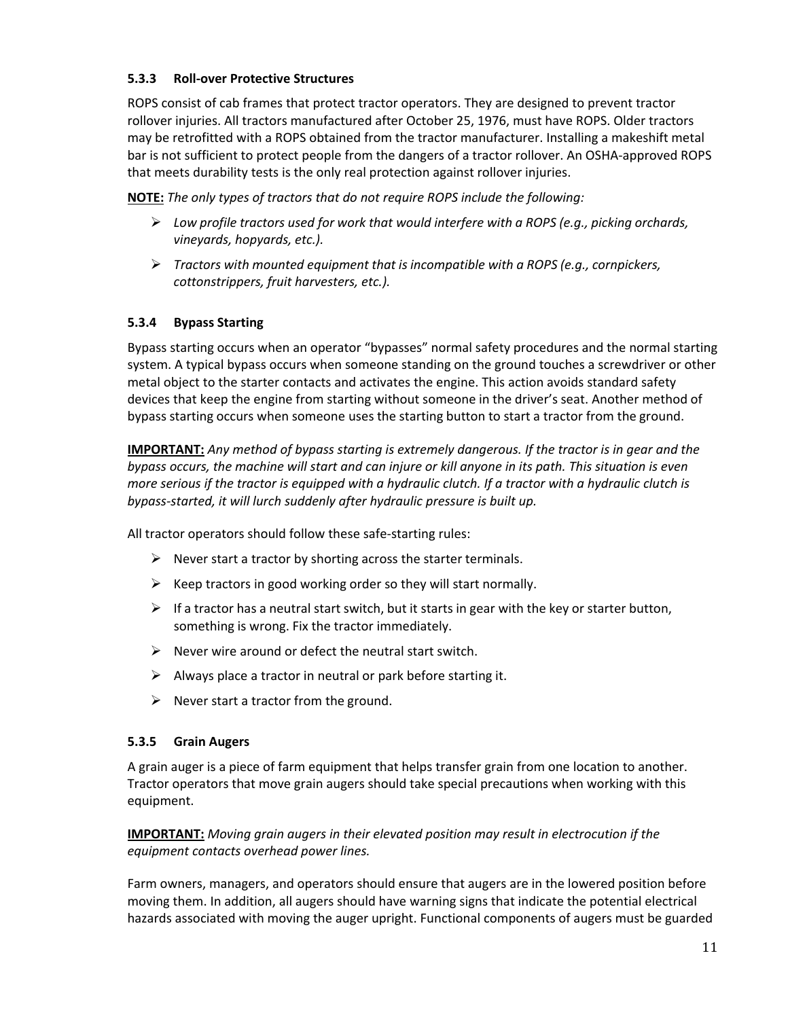## <span id="page-10-0"></span>**5.3.3 Roll-over Protective Structures**

ROPS consist of cab frames that protect tractor operators. They are designed to prevent tractor rollover injuries. All tractors manufactured after October 25, 1976, must have ROPS. Older tractors may be retrofitted with a ROPS obtained from the tractor manufacturer. Installing a makeshift metal bar is not sufficient to protect people from the dangers of a tractor rollover. An OSHA-approved ROPS that meets durability tests is the only real protection against rollover injuries.

**NOTE:** *The only types of tractors that do not require ROPS include the following:*

- *Low profile tractors used for work that would interfere with a ROPS (e.g., picking orchards, vineyards, hopyards, etc.).*
- *Tractors with mounted equipment that is incompatible with a ROPS (e.g., cornpickers, cottonstrippers, fruit harvesters, etc.).*

## <span id="page-10-1"></span>**5.3.4 Bypass Starting**

Bypass starting occurs when an operator "bypasses" normal safety procedures and the normal starting system. A typical bypass occurs when someone standing on the ground touches a screwdriver or other metal object to the starter contacts and activates the engine. This action avoids standard safety devices that keep the engine from starting without someone in the driver's seat. Another method of bypass starting occurs when someone uses the starting button to start a tractor from the ground.

**IMPORTANT:** *Any method of bypass starting is extremely dangerous. If the tractor is in gear and the bypass occurs, the machine will start and can injure or kill anyone in its path. This situation is even more serious if the tractor is equipped with a hydraulic clutch. If a tractor with a hydraulic clutch is bypass-started, it will lurch suddenly after hydraulic pressure is built up.*

All tractor operators should follow these safe-starting rules:

- $\triangleright$  Never start a tractor by shorting across the starter terminals.
- $\triangleright$  Keep tractors in good working order so they will start normally.
- $\triangleright$  If a tractor has a neutral start switch, but it starts in gear with the key or starter button, something is wrong. Fix the tractor immediately.
- $\triangleright$  Never wire around or defect the neutral start switch.
- $\triangleright$  Always place a tractor in neutral or park before starting it.
- $\triangleright$  Never start a tractor from the ground.

#### <span id="page-10-2"></span>**5.3.5 Grain Augers**

A grain auger is a piece of farm equipment that helps transfer grain from one location to another. Tractor operators that move grain augers should take special precautions when working with this equipment.

**IMPORTANT:** *Moving grain augers in their elevated position may result in electrocution if the equipment contacts overhead power lines.*

Farm owners, managers, and operators should ensure that augers are in the lowered position before moving them. In addition, all augers should have warning signs that indicate the potential electrical hazards associated with moving the auger upright. Functional components of augers must be guarded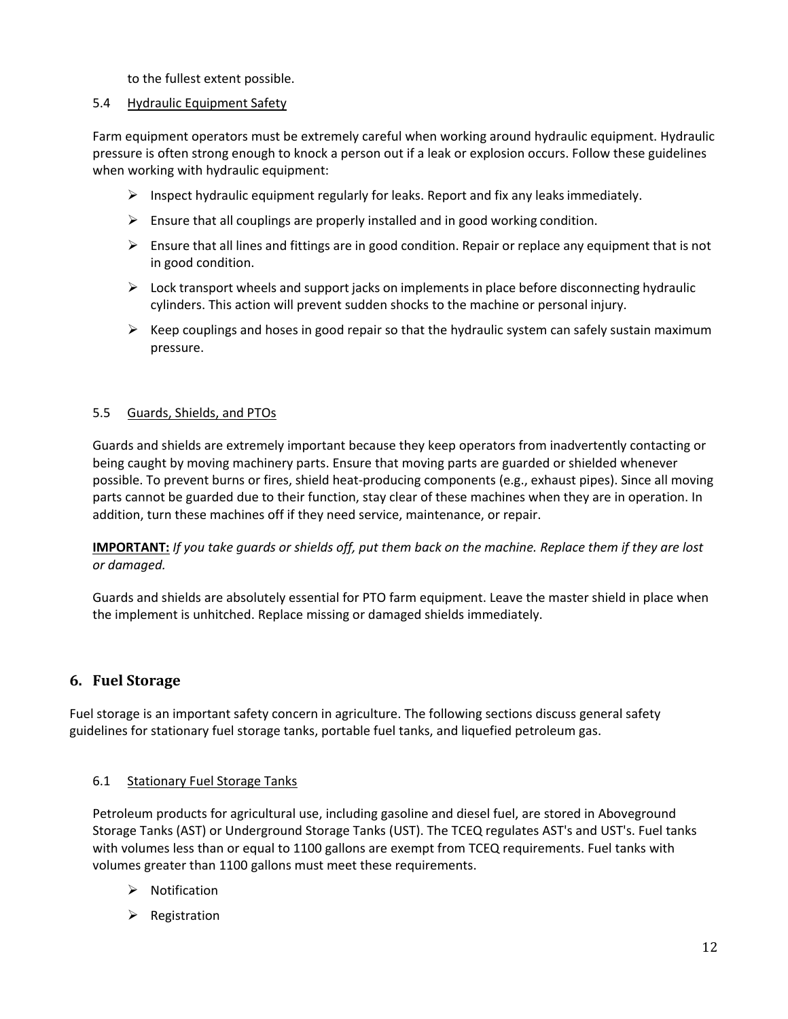to the fullest extent possible.

## <span id="page-11-0"></span>5.4 Hydraulic Equipment Safety

Farm equipment operators must be extremely careful when working around hydraulic equipment. Hydraulic pressure is often strong enough to knock a person out if a leak or explosion occurs. Follow these guidelines when working with hydraulic equipment:

- $\triangleright$  Inspect hydraulic equipment regularly for leaks. Report and fix any leaks immediately.
- $\triangleright$  Ensure that all couplings are properly installed and in good working condition.
- $\triangleright$  Ensure that all lines and fittings are in good condition. Repair or replace any equipment that is not in good condition.
- $\triangleright$  Lock transport wheels and support jacks on implements in place before disconnecting hydraulic cylinders. This action will prevent sudden shocks to the machine or personal injury.
- $\triangleright$  Keep couplings and hoses in good repair so that the hydraulic system can safely sustain maximum pressure.

#### <span id="page-11-1"></span>5.5 Guards, Shields, and PTOs

Guards and shields are extremely important because they keep operators from inadvertently contacting or being caught by moving machinery parts. Ensure that moving parts are guarded or shielded whenever possible. To prevent burns or fires, shield heat-producing components (e.g., exhaust pipes). Since all moving parts cannot be guarded due to their function, stay clear of these machines when they are in operation. In addition, turn these machines off if they need service, maintenance, or repair.

**IMPORTANT:** *If you take guards or shields off, put them back on the machine. Replace them if they are lost or damaged.*

Guards and shields are absolutely essential for PTO farm equipment. Leave the master shield in place when the implement is unhitched. Replace missing or damaged shields immediately.

## <span id="page-11-2"></span>**6. Fuel Storage**

Fuel storage is an important safety concern in agriculture. The following sections discuss general safety guidelines for stationary fuel storage tanks, portable fuel tanks, and liquefied petroleum gas.

#### <span id="page-11-3"></span>6.1 Stationary Fuel Storage Tanks

Petroleum products for agricultural use, including gasoline and diesel fuel, are stored in Aboveground Storage Tanks (AST) or Underground Storage Tanks (UST). The TCEQ regulates AST's and UST's. Fuel tanks with volumes less than or equal to 1100 gallons are exempt from TCEQ requirements. Fuel tanks with volumes greater than 1100 gallons must meet these requirements.

- $\triangleright$  Notification
- $\triangleright$  Registration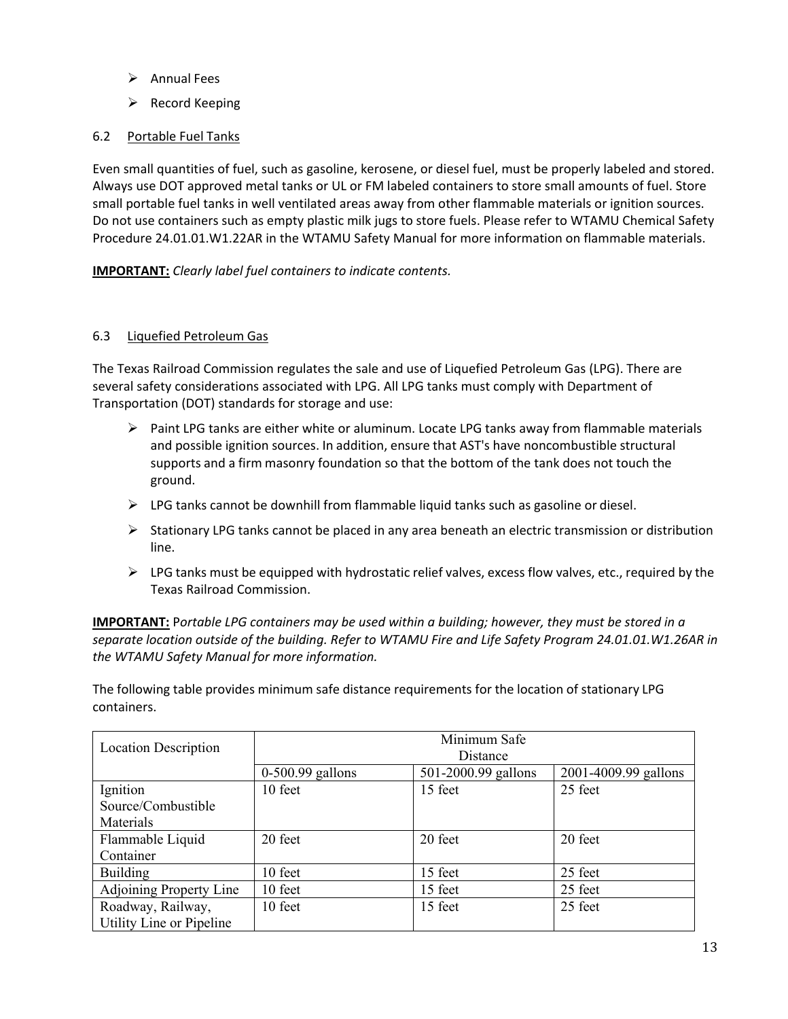- $\triangleright$  Annual Fees
- $\triangleright$  Record Keeping

## <span id="page-12-0"></span>6.2 Portable Fuel Tanks

Even small quantities of fuel, such as gasoline, kerosene, or diesel fuel, must be properly labeled and stored. Always use DOT approved metal tanks or UL or FM labeled containers to store small amounts of fuel. Store small portable fuel tanks in well ventilated areas away from other flammable materials or ignition sources. Do not use containers such as empty plastic milk jugs to store fuels. Please refer to WTAMU Chemical Safety Procedure 24.01.01.W1.22AR in the WTAMU Safety Manual for more information on flammable materials.

**IMPORTANT:** *Clearly label fuel containers to indicate contents.*

# <span id="page-12-1"></span>6.3 Liquefied Petroleum Gas

The Texas Railroad Commission regulates the sale and use of Liquefied Petroleum Gas (LPG). There are several safety considerations associated with LPG. All LPG tanks must comply with Department of Transportation (DOT) standards for storage and use:

- $\triangleright$  Paint LPG tanks are either white or aluminum. Locate LPG tanks away from flammable materials and possible ignition sources. In addition, ensure that AST's have noncombustible structural supports and a firm masonry foundation so that the bottom of the tank does not touch the ground.
- $\triangleright$  LPG tanks cannot be downhill from flammable liquid tanks such as gasoline or diesel.
- $\triangleright$  Stationary LPG tanks cannot be placed in any area beneath an electric transmission or distribution line.
- $\triangleright$  LPG tanks must be equipped with hydrostatic relief valves, excess flow valves, etc., required by the Texas Railroad Commission.

**IMPORTANT:** P*ortable LPG containers may be used within a building; however, they must be stored in a separate location outside of the building. Refer to WTAMU Fire and Life Safety Program 24.01.01.W1.26AR in the WTAMU Safety Manual for more information.*

The following table provides minimum safe distance requirements for the location of stationary LPG containers.

|                             | Minimum Safe       |                     |                      |  |
|-----------------------------|--------------------|---------------------|----------------------|--|
| <b>Location Description</b> | Distance           |                     |                      |  |
|                             | $0-500.99$ gallons | 501-2000.99 gallons | 2001-4009.99 gallons |  |
| Ignition                    | 10 feet            | 15 feet             | 25 feet              |  |
| Source/Combustible          |                    |                     |                      |  |
| Materials                   |                    |                     |                      |  |
| Flammable Liquid            | 20 feet            | 20 feet             | 20 feet              |  |
| Container                   |                    |                     |                      |  |
| <b>Building</b>             | 10 feet            | 15 feet             | 25 feet              |  |
| Adjoining Property Line     | 10 feet            | 15 feet             | 25 feet              |  |
| Roadway, Railway,           | 10 feet            | 15 feet             | 25 feet              |  |
| Utility Line or Pipeline    |                    |                     |                      |  |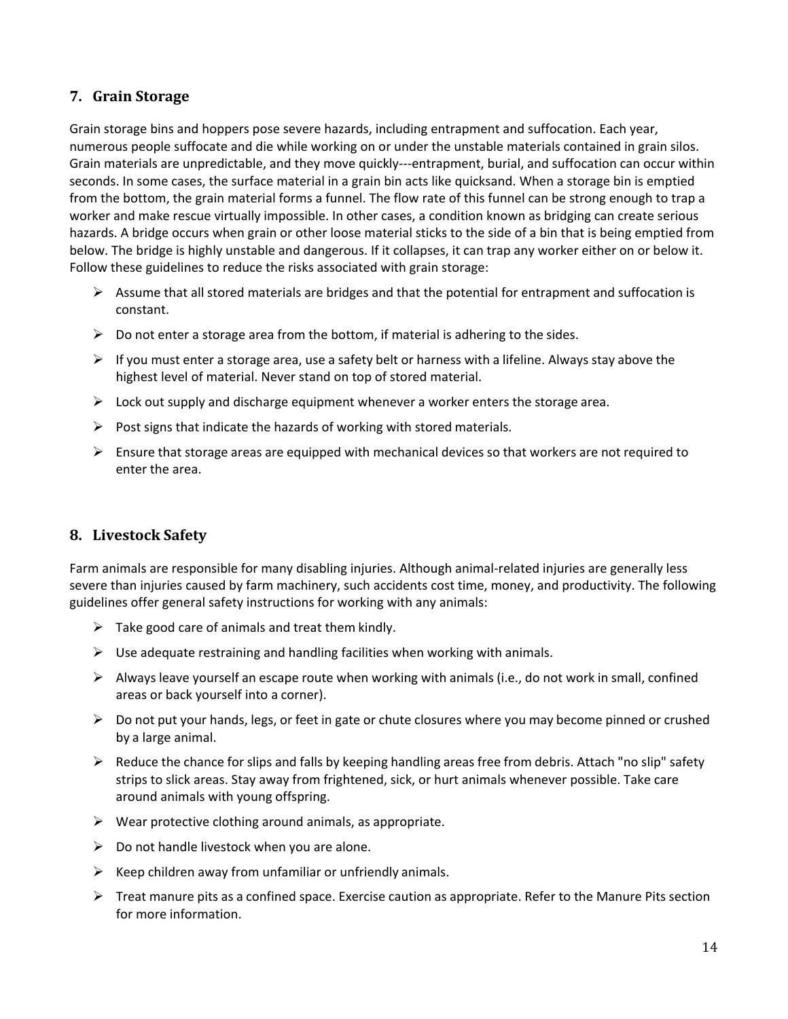# <span id="page-13-0"></span>**7. Grain Storage**

Grain storage bins and hoppers pose severe hazards, including entrapment and suffocation. Each year, numerous people suffocate and die while working on or under the unstable materials contained in grain silos. Grain materials are unpredictable, and they move quickly---entrapment, burial, and suffocation can occur within seconds. In some cases, the surface material in a grain bin acts like quicksand. When a storage bin is emptied from the bottom, the grain material forms a funnel. The flow rate of this funnel can be strong enough to trap a worker and make rescue virtually impossible. In other cases, a condition known as bridging can create serious hazards. A bridge occurs when grain or other loose material sticks to the side of a bin that is being emptied from below. The bridge is highly unstable and dangerous. If it collapses, it can trap any worker either on or below it. Follow these guidelines to reduce the risks associated with grain storage:

- $\triangleright$  Assume that all stored materials are bridges and that the potential for entrapment and suffocation is constant.
- $\triangleright$  Do not enter a storage area from the bottom, if material is adhering to the sides.
- $\triangleright$  If you must enter a storage area, use a safety belt or harness with a lifeline. Always stay above the highest level of material. Never stand on top of stored material.
- $\triangleright$  Lock out supply and discharge equipment whenever a worker enters the storage area.
- $\triangleright$  Post signs that indicate the hazards of working with stored materials.
- $\triangleright$  Ensure that storage areas are equipped with mechanical devices so that workers are not required to enter the area.

# <span id="page-13-1"></span>**8. Livestock Safety**

Farm animals are responsible for many disabling injuries. Although animal-related injuries are generally less severe than injuries caused by farm machinery, such accidents cost time, money, and productivity. The following guidelines offer general safety instructions for working with any animals:

- $\triangleright$  Take good care of animals and treat them kindly.
- $\triangleright$  Use adequate restraining and handling facilities when working with animals.
- $\triangleright$  Always leave yourself an escape route when working with animals (i.e., do not work in small, confined areas or back yourself into a corner).
- $\triangleright$  Do not put your hands, legs, or feet in gate or chute closures where you may become pinned or crushed by a large animal.
- $\triangleright$  Reduce the chance for slips and falls by keeping handling areas free from debris. Attach "no slip" safety strips to slick areas. Stay away from frightened, sick, or hurt animals whenever possible. Take care around animals with young offspring.
- $\triangleright$  Wear protective clothing around animals, as appropriate.
- $\triangleright$  Do not handle livestock when you are alone.
- $\triangleright$  Keep children away from unfamiliar or unfriendly animals.
- $\triangleright$  Treat manure pits as a confined space. Exercise caution as appropriate. Refer to the Manure Pits section for more information.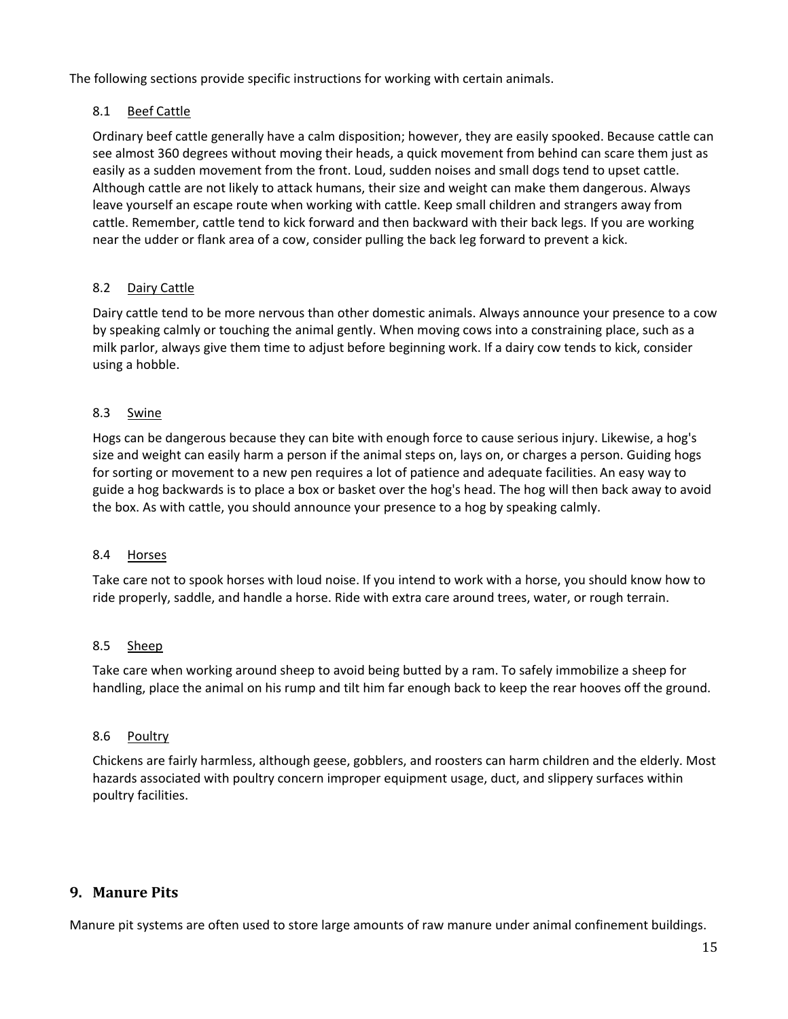The following sections provide specific instructions for working with certain animals.

## <span id="page-14-0"></span>8.1 Beef Cattle

Ordinary beef cattle generally have a calm disposition; however, they are easily spooked. Because cattle can see almost 360 degrees without moving their heads, a quick movement from behind can scare them just as easily as a sudden movement from the front. Loud, sudden noises and small dogs tend to upset cattle. Although cattle are not likely to attack humans, their size and weight can make them dangerous. Always leave yourself an escape route when working with cattle. Keep small children and strangers away from cattle. Remember, cattle tend to kick forward and then backward with their back legs. If you are working near the udder or flank area of a cow, consider pulling the back leg forward to prevent a kick.

# <span id="page-14-1"></span>8.2 Dairy Cattle

Dairy cattle tend to be more nervous than other domestic animals. Always announce your presence to a cow by speaking calmly or touching the animal gently. When moving cows into a constraining place, such as a milk parlor, always give them time to adjust before beginning work. If a dairy cow tends to kick, consider using a hobble.

## <span id="page-14-2"></span>8.3 Swine

Hogs can be dangerous because they can bite with enough force to cause serious injury. Likewise, a hog's size and weight can easily harm a person if the animal steps on, lays on, or charges a person. Guiding hogs for sorting or movement to a new pen requires a lot of patience and adequate facilities. An easy way to guide a hog backwards is to place a box or basket over the hog's head. The hog will then back away to avoid the box. As with cattle, you should announce your presence to a hog by speaking calmly.

#### <span id="page-14-3"></span>8.4 Horses

Take care not to spook horses with loud noise. If you intend to work with a horse, you should know how to ride properly, saddle, and handle a horse. Ride with extra care around trees, water, or rough terrain.

## <span id="page-14-4"></span>8.5 Sheep

Take care when working around sheep to avoid being butted by a ram. To safely immobilize a sheep for handling, place the animal on his rump and tilt him far enough back to keep the rear hooves off the ground.

#### <span id="page-14-5"></span>8.6 Poultry

Chickens are fairly harmless, although geese, gobblers, and roosters can harm children and the elderly. Most hazards associated with poultry concern improper equipment usage, duct, and slippery surfaces within poultry facilities.

## <span id="page-14-6"></span>**9. Manure Pits**

Manure pit systems are often used to store large amounts of raw manure under animal confinement buildings.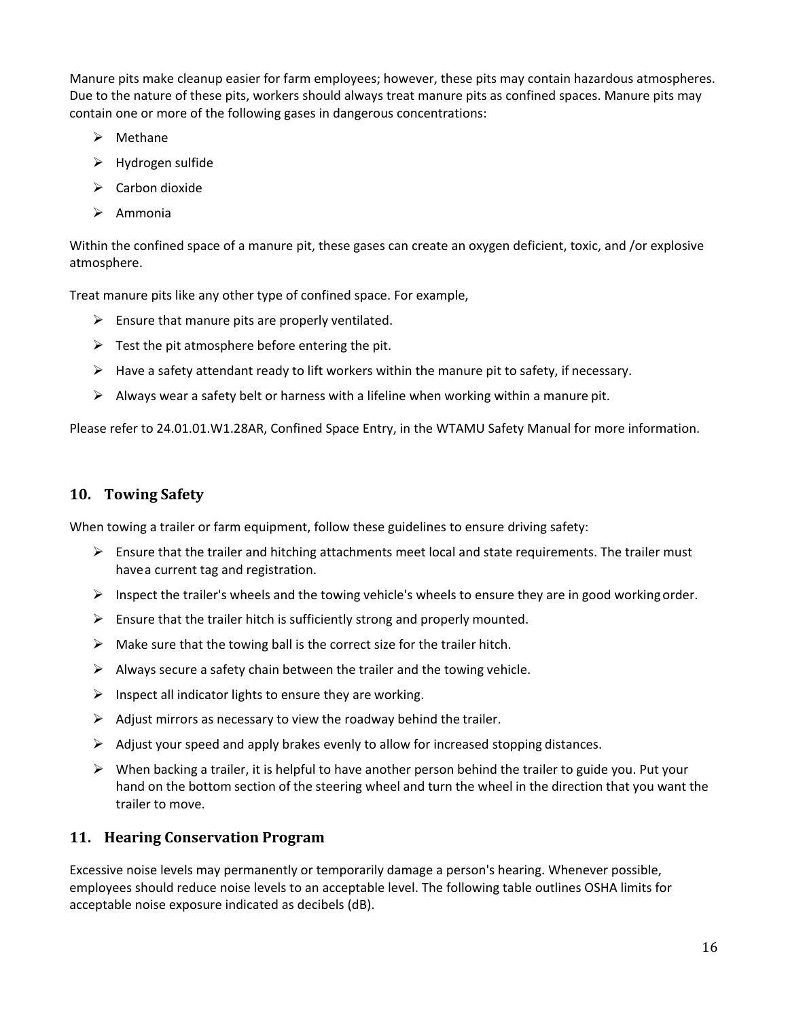Manure pits make cleanup easier for farm employees; however, these pits may contain hazardous atmospheres. Due to the nature of these pits, workers should always treat manure pits as confined spaces. Manure pits may contain one or more of the following gases in dangerous concentrations:

- $\triangleright$  Methane
- $\triangleright$  Hydrogen sulfide
- $\triangleright$  Carbon dioxide
- $\triangleright$  Ammonia

Within the confined space of a manure pit, these gases can create an oxygen deficient, toxic, and /or explosive atmosphere.

Treat manure pits like any other type of confined space. For example,

- $\triangleright$  Ensure that manure pits are properly ventilated.
- $\triangleright$  Test the pit atmosphere before entering the pit.
- $\triangleright$  Have a safety attendant ready to lift workers within the manure pit to safety, if necessary.
- $\triangleright$  Always wear a safety belt or harness with a lifeline when working within a manure pit.

Please refer to 24.01.01.W1.28AR, Confined Space Entry, in the WTAMU Safety Manual for more information.

# <span id="page-15-0"></span>**10. Towing Safety**

When towing a trailer or farm equipment, follow these guidelines to ensure driving safety:

- $\triangleright$  Ensure that the trailer and hitching attachments meet local and state requirements. The trailer must havea current tag and registration.
- $\triangleright$  Inspect the trailer's wheels and the towing vehicle's wheels to ensure they are in good working order.
- $\triangleright$  Ensure that the trailer hitch is sufficiently strong and properly mounted.
- $\triangleright$  Make sure that the towing ball is the correct size for the trailer hitch.
- $\triangleright$  Always secure a safety chain between the trailer and the towing vehicle.
- $\triangleright$  Inspect all indicator lights to ensure they are working.
- $\triangleright$  Adjust mirrors as necessary to view the roadway behind the trailer.
- $\triangleright$  Adjust your speed and apply brakes evenly to allow for increased stopping distances.
- $\triangleright$  When backing a trailer, it is helpful to have another person behind the trailer to guide you. Put your hand on the bottom section of the steering wheel and turn the wheel in the direction that you want the trailer to move.

## <span id="page-15-1"></span>**11. Hearing Conservation Program**

Excessive noise levels may permanently or temporarily damage a person's hearing. Whenever possible, employees should reduce noise levels to an acceptable level. The following table outlines OSHA limits for acceptable noise exposure indicated as decibels (dB).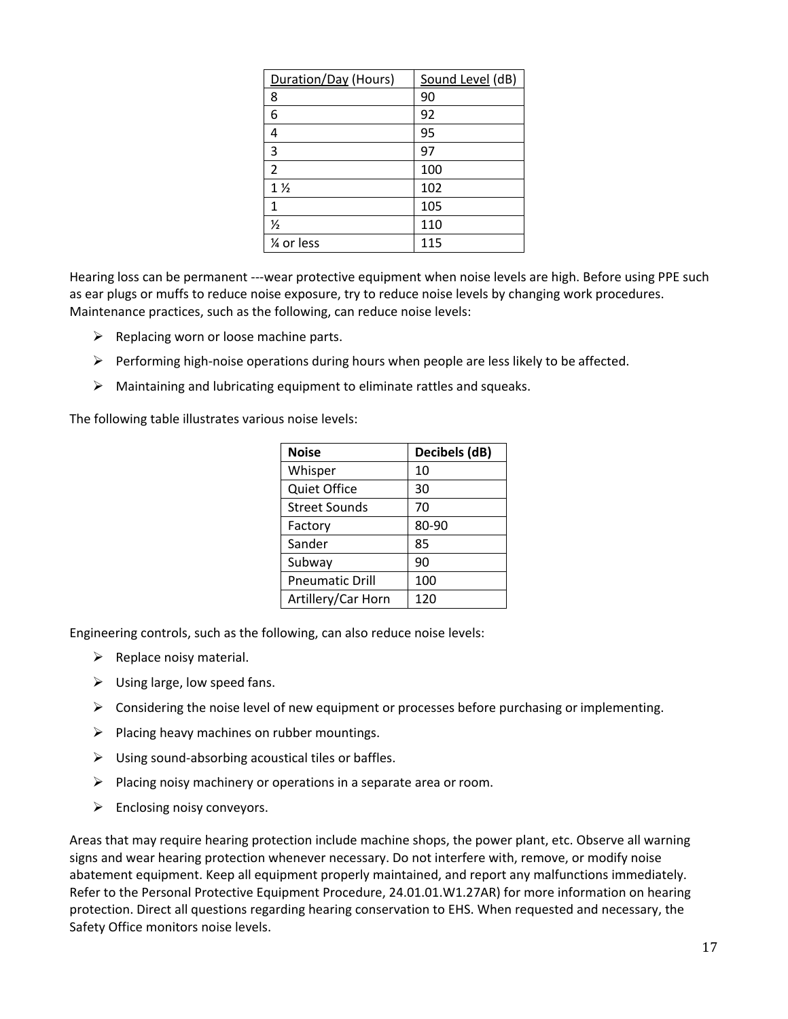| Duration/Day (Hours) | Sound Level (dB) |  |
|----------------------|------------------|--|
| 8                    | 90               |  |
| 6                    | 92               |  |
| 4                    | 95               |  |
| 3                    | 97               |  |
| 2                    | 100              |  |
| $1\frac{1}{2}$       | 102              |  |
| 1                    | 105              |  |
| ⅓                    | 110              |  |
| 1⁄4 or less          | 115              |  |

Hearing loss can be permanent ---wear protective equipment when noise levels are high. Before using PPE such as ear plugs or muffs to reduce noise exposure, try to reduce noise levels by changing work procedures. Maintenance practices, such as the following, can reduce noise levels:

- $\triangleright$  Replacing worn or loose machine parts.
- $\triangleright$  Performing high-noise operations during hours when people are less likely to be affected.
- $\triangleright$  Maintaining and lubricating equipment to eliminate rattles and squeaks.

The following table illustrates various noise levels:

| <b>Noise</b>           | Decibels (dB) |  |
|------------------------|---------------|--|
| Whisper                | 10            |  |
| <b>Quiet Office</b>    | 30            |  |
| <b>Street Sounds</b>   | 70            |  |
| Factory                | 80-90         |  |
| Sander                 | 85            |  |
| Subway                 | 90            |  |
| <b>Pneumatic Drill</b> | 100           |  |
| Artillery/Car Horn     | 120           |  |

Engineering controls, such as the following, can also reduce noise levels:

- $\triangleright$  Replace noisy material.
- $\triangleright$  Using large, low speed fans.
- $\triangleright$  Considering the noise level of new equipment or processes before purchasing or implementing.
- $\triangleright$  Placing heavy machines on rubber mountings.
- $\triangleright$  Using sound-absorbing acoustical tiles or baffles.
- $\triangleright$  Placing noisy machinery or operations in a separate area or room.
- $\triangleright$  Enclosing noisy conveyors.

Areas that may require hearing protection include machine shops, the power plant, etc. Observe all warning signs and wear hearing protection whenever necessary. Do not interfere with, remove, or modify noise abatement equipment. Keep all equipment properly maintained, and report any malfunctions immediately. Refer to the Personal Protective Equipment Procedure, 24.01.01.W1.27AR) for more information on hearing protection. Direct all questions regarding hearing conservation to EHS. When requested and necessary, the Safety Office monitors noise levels.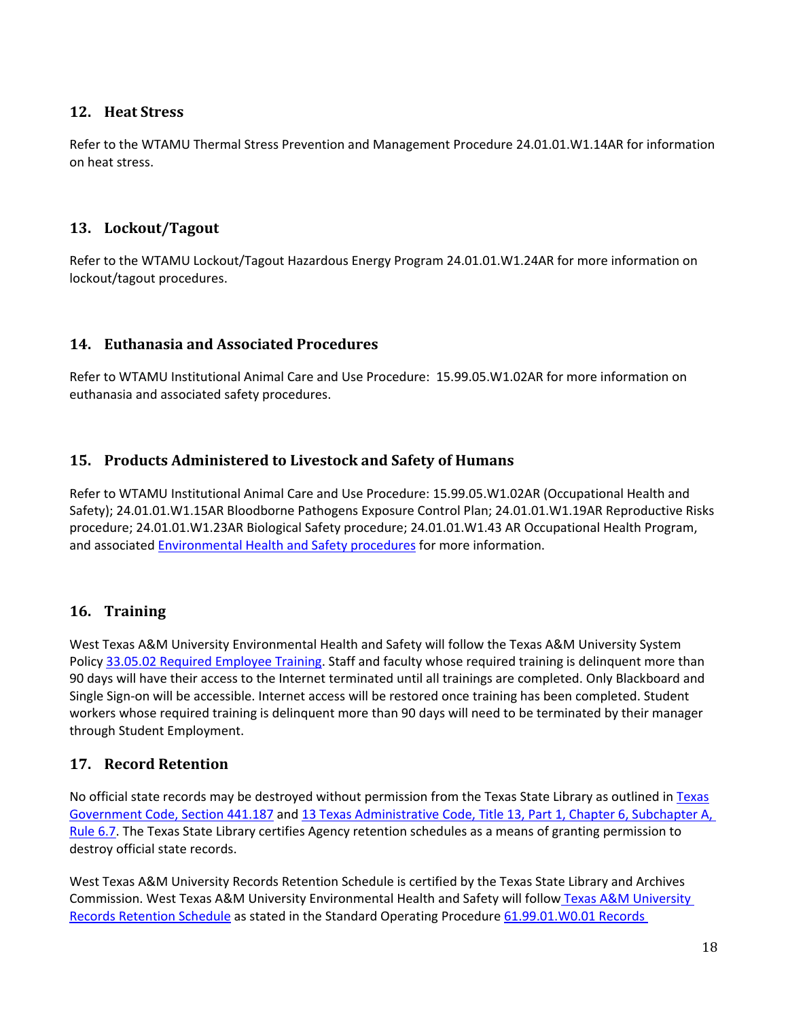# <span id="page-17-0"></span>**12. Heat Stress**

Refer to the WTAMU Thermal Stress Prevention and Management Procedure 24.01.01.W1.14AR for information on heat stress.

# <span id="page-17-1"></span>**13. Lockout/Tagout**

Refer to the WTAMU Lockout/Tagout Hazardous Energy Program 24.01.01.W1.24AR for more information on lockout/tagout procedures.

# <span id="page-17-2"></span>**14. Euthanasia and Associated Procedures**

Refer to WTAMU Institutional Animal Care and Use Procedure: 15.99.05.W1.02AR for more information on euthanasia and associated safety procedures.

# <span id="page-17-3"></span>**15. Products Administered to Livestock and Safety of Humans**

Refer to WTAMU Institutional Animal Care and Use Procedure: 15.99.05.W1.02AR (Occupational Health and Safety); 24.01.01.W1.15AR Bloodborne Pathogens Exposure Control Plan; 24.01.01.W1.19AR Reproductive Risks procedure; 24.01.01.W1.23AR Biological Safety procedure; 24.01.01.W1.43 AR Occupational Health Program, and associated **Environmental Health and Safety procedures** for more information.

# <span id="page-17-4"></span>**16. Training**

West Texas A&M University Environmental Health and Safety will follow the Texas A&M University System Polic[y 33.05.02 Required Employee Training.](http://policies.tamus.edu/33-05-02.pdf) Staff and faculty whose required training is delinquent more than 90 days will have their access to the Internet terminated until all trainings are completed. Only Blackboard and Single Sign-on will be accessible. Internet access will be restored once training has been completed. Student workers whose required training is delinquent more than 90 days will need to be terminated by their manager through Student Employment.

# <span id="page-17-5"></span>**17. Record Retention**

No official state records may be destroyed without permission from the Texas State Library as outlined in [Texas](http://www.statutes.legis.state.tx.us/?link=GV) [Government Code, Section 441.187](http://www.statutes.legis.state.tx.us/?link=GV) an[d 13 Texas Administrative Code, Title 13, Part 1, Chapter 6, Subchapter A,](http://txrules.elaws.us/rule/title13_chapter6_sec.6.7)  [Rule](http://txrules.elaws.us/rule/title13_chapter6_sec.6.7) 6.7. The Texas State Library certifies Agency retention schedules as a means of granting permission to destroy official state records.

West Texas A&M University Records Retention Schedule is certified by the Texas State Library and Archives Commission. West [Texas A&M](https://www.wtamu.edu/webres/File/Risk%20Management/System-Records-Retention-Schedule.pdf) University Environmental Health and Safety will follow Texas A&M University [Records Retention Schedule](https://www.wtamu.edu/webres/File/Risk%20Management/System-Records-Retention-Schedule.pdf) as stated in the Standard Operating Procedure [61.99.01.W0.01 Records](http://www.wtamu.edu/webres/File/Risk%20Management/61.99.01.W0.01_PROCEDURE_Records%20Management_FINAL%20SIGNED.pdf)